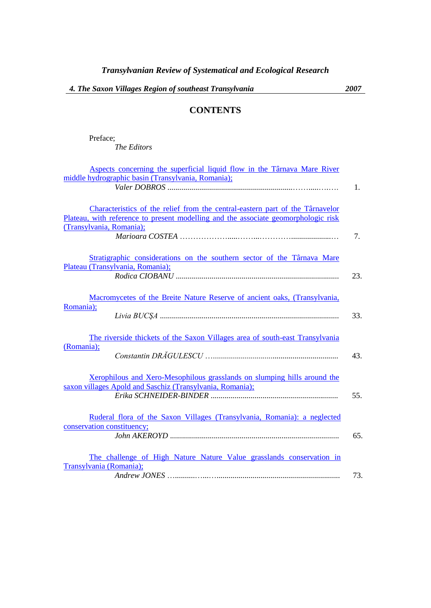## **CONTENTS**

Preface; *The Editors*

| Aspects concerning the superficial liquid flow in the Târnava Mare River           |     |
|------------------------------------------------------------------------------------|-----|
| middle hydrographic basin (Transylvania, Romania);                                 |     |
|                                                                                    | 1.  |
|                                                                                    |     |
| Characteristics of the relief from the central-eastern part of the Târnavelor      |     |
|                                                                                    |     |
| Plateau, with reference to present modelling and the associate geomorphologic risk |     |
| (Transylvania, Romania);                                                           |     |
|                                                                                    | 7.  |
|                                                                                    |     |
| Stratigraphic considerations on the southern sector of the Târnava Mare            |     |
| Plateau (Transylvania, Romania);                                                   |     |
|                                                                                    | 23. |
|                                                                                    |     |
|                                                                                    |     |
| Macromycetes of the Breite Nature Reserve of ancient oaks, (Transylvania,          |     |
| Romania);                                                                          | 33. |
|                                                                                    |     |
|                                                                                    |     |
| The riverside thickets of the Saxon Villages area of south-east Transylvania       |     |
| (Romania);                                                                         |     |
|                                                                                    | 43. |
|                                                                                    |     |
| Xerophilous and Xero-Mesophilous grasslands on slumping hills around the           |     |
| saxon villages Apold and Saschiz (Transylvania, Romania);                          |     |
|                                                                                    | 55. |
|                                                                                    |     |
|                                                                                    |     |
| Ruderal flora of the Saxon Villages (Transylvania, Romania): a neglected           |     |
| conservation constituency;                                                         |     |
|                                                                                    | 65. |
|                                                                                    |     |
| The challenge of High Nature Nature Value grasslands conservation in               |     |
| Transylvania (Romania);                                                            |     |
|                                                                                    | 73. |